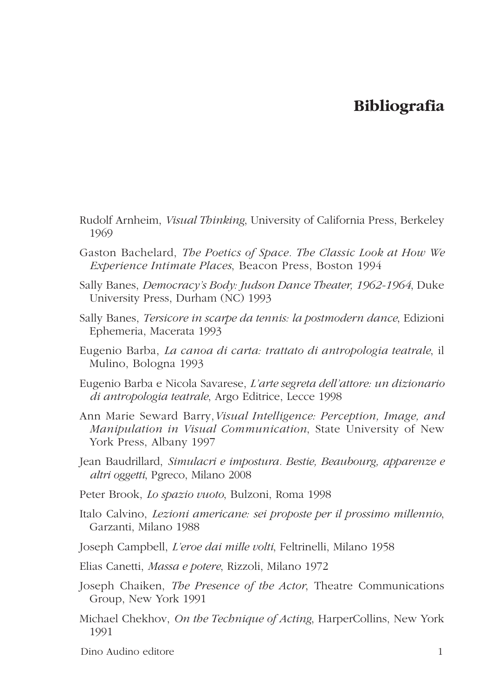## **Bibliografia**

- Rudolf Arnheim, *Visual Thinking*, University of California Press, Berkeley 1969
- Gaston Bachelard, *The Poetics of Space. The Classic Look at How We Experience Intimate Places*, Beacon Press, Boston 1994
- Sally Banes, *Democracy's Body: Judson Dance Theater, 1962-1964*, Duke University Press, Durham (NC) 1993
- Sally Banes, *Tersicore in scarpe da tennis: la postmodern dance*, Edizioni Ephemeria, Macerata 1993
- Eugenio Barba, *La canoa di carta: trattato di antropologia teatrale*, il Mulino, Bologna 1993
- Eugenio Barba e Nicola Savarese, *L'arte segreta dell'attore: un dizionario di antropologia teatrale*, Argo Editrice, Lecce 1998
- Ann Marie Seward Barry,*Visual Intelligence: Perception, Image, and Manipulation in Visual Communication*, State University of New York Press, Albany 1997
- Jean Baudrillard, *Simulacri e impostura. Bestie, Beaubourg, apparenze e altri oggetti*, Pgreco, Milano 2008
- Peter Brook, *Lo spazio vuoto*, Bulzoni, Roma 1998
- Italo Calvino, *Lezioni americane: sei proposte per il prossimo millennio*, Garzanti, Milano 1988
- Joseph Campbell, *L'eroe dai mille volti*, Feltrinelli, Milano 1958
- Elias Canetti, *Massa e potere*, Rizzoli, Milano 1972
- Joseph Chaiken, *The Presence of the Actor*, Theatre Communications Group, New York 1991
- Michael Chekhov, *On the Technique of Acting*, HarperCollins, New York 1991
- Dino Audino editore 1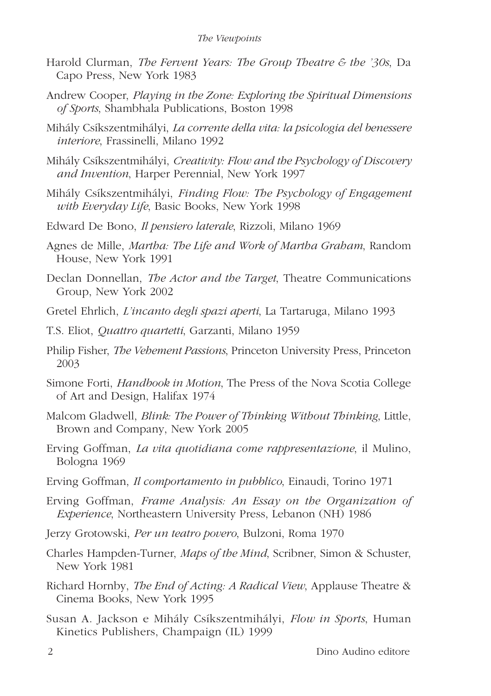## *The Viewpoints*

- Harold Clurman, *The Fervent Years: The Group Theatre & the '30s*, Da Capo Press, New York 1983
- Andrew Cooper, *Playing in the Zone: Exploring the Spiritual Dimensions of Sports*, Shambhala Publications, Boston 1998
- Mihály Csíkszentmihályi, *La corrente della vita: la psicologia del benessere interiore*, Frassinelli, Milano 1992
- Mihály Csíkszentmihályi, *Creativity: Flow and the Psychology of Discovery and Invention*, Harper Perennial, New York 1997
- Mihály Csíkszentmihályi, *Finding Flow: The Psychology of Engagement with Everyday Life*, Basic Books, New York 1998
- Edward De Bono, *Il pensiero laterale*, Rizzoli, Milano 1969
- Agnes de Mille, *Martha: The Life and Work of Martha Graham*, Random House, New York 1991
- Declan Donnellan, *The Actor and the Target*, Theatre Communications Group, New York 2002
- Gretel Ehrlich, *L'incanto degli spazi aperti*, La Tartaruga, Milano 1993
- T.S. Eliot, *Quattro quartetti*, Garzanti, Milano 1959
- Philip Fisher, *The Vehement Passions*, Princeton University Press, Princeton 2003
- Simone Forti, *Handbook in Motion*, The Press of the Nova Scotia College of Art and Design, Halifax 1974
- Malcom Gladwell, *Blink: The Power of Thinking Without Thinking*, Little, Brown and Company, New York 2005
- Erving Goffman, *La vita quotidiana come rappresentazione*, il Mulino, Bologna 1969
- Erving Goffman, *Il comportamento in pubblico*, Einaudi, Torino 1971
- Erving Goffman, *Frame Analysis: An Essay on the Organization of Experience*, Northeastern University Press, Lebanon (NH) 1986
- Jerzy Grotowski, *Per un teatro povero*, Bulzoni, Roma 1970
- Charles Hampden-Turner, *Maps of the Mind*, Scribner, Simon & Schuster, New York 1981
- Richard Hornby, *The End of Acting: A Radical View*, Applause Theatre & Cinema Books, New York 1995
- Susan A. Jackson e Mihály Csíkszentmihályi, *Flow in Sports*, Human Kinetics Publishers, Champaign (IL) 1999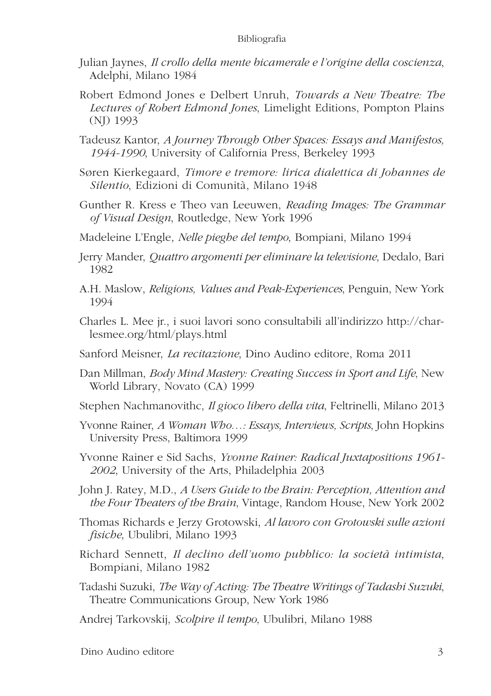## Bibliografia

- Julian Jaynes, *Il crollo della mente bicamerale e l'origine della coscienza*, Adelphi, Milano 1984
- Robert Edmond Jones e Delbert Unruh, *Towards a New Theatre: The Lectures of Robert Edmond Jones*, Limelight Editions, Pompton Plains (NJ) 1993
- Tadeusz Kantor, *A Journey Through Other Spaces: Essays and Manifestos, 1944-1990*, University of California Press, Berkeley 1993
- Søren Kierkegaard, *Timore e tremore: lirica dialettica di Johannes de Silentio*, Edizioni di Comunità, Milano 1948
- Gunther R. Kress e Theo van Leeuwen, *Reading Images: The Grammar of Visual Design*, Routledge, New York 1996
- Madeleine L'Engle, *Nelle pieghe del tempo*, Bompiani, Milano 1994
- Jerry Mander, *Quattro argomenti per eliminare la televisione*, Dedalo, Bari 1982
- A.H. Maslow, *Religions, Values and Peak-Experiences*, Penguin, New York 1994
- Charles L. Mee jr., i suoi lavori sono consultabili all'indirizzo http://charlesmee.org/html/plays.html
- Sanford Meisner, *La recitazione*, Dino Audino editore, Roma 2011
- Dan Millman, *Body Mind Mastery: Creating Success in Sport and Life*, New World Library, Novato (CA) 1999
- Stephen Nachmanovithc, *Il gioco libero della vita*, Feltrinelli, Milano 2013
- Yvonne Rainer, *A Woman Who…: Essays, Interviews, Scripts*, John Hopkins University Press, Baltimora 1999
- Yvonne Rainer e Sid Sachs, *Yvonne Rainer: Radical Juxtapositions 1961- 2002*, University of the Arts, Philadelphia 2003
- John J. Ratey, M.D., *A Users Guide to the Brain: Perception, Attention and the Four Theaters of the Brain*, Vintage, Random House, New York 2002
- Thomas Richards e Jerzy Grotowski, *Al lavoro con Grotowski sulle azioni fisiche*, Ubulibri, Milano 1993
- Richard Sennett, *Il declino dell'uomo pubblico: la società intimista*, Bompiani, Milano 1982
- Tadashi Suzuki, *The Way of Acting: The Theatre Writings of Tadashi Suzuki*, Theatre Communications Group, New York 1986
- Andrej Tarkovskij, *Scolpire il tempo*, Ubulibri, Milano 1988

Dino Audino editore 3